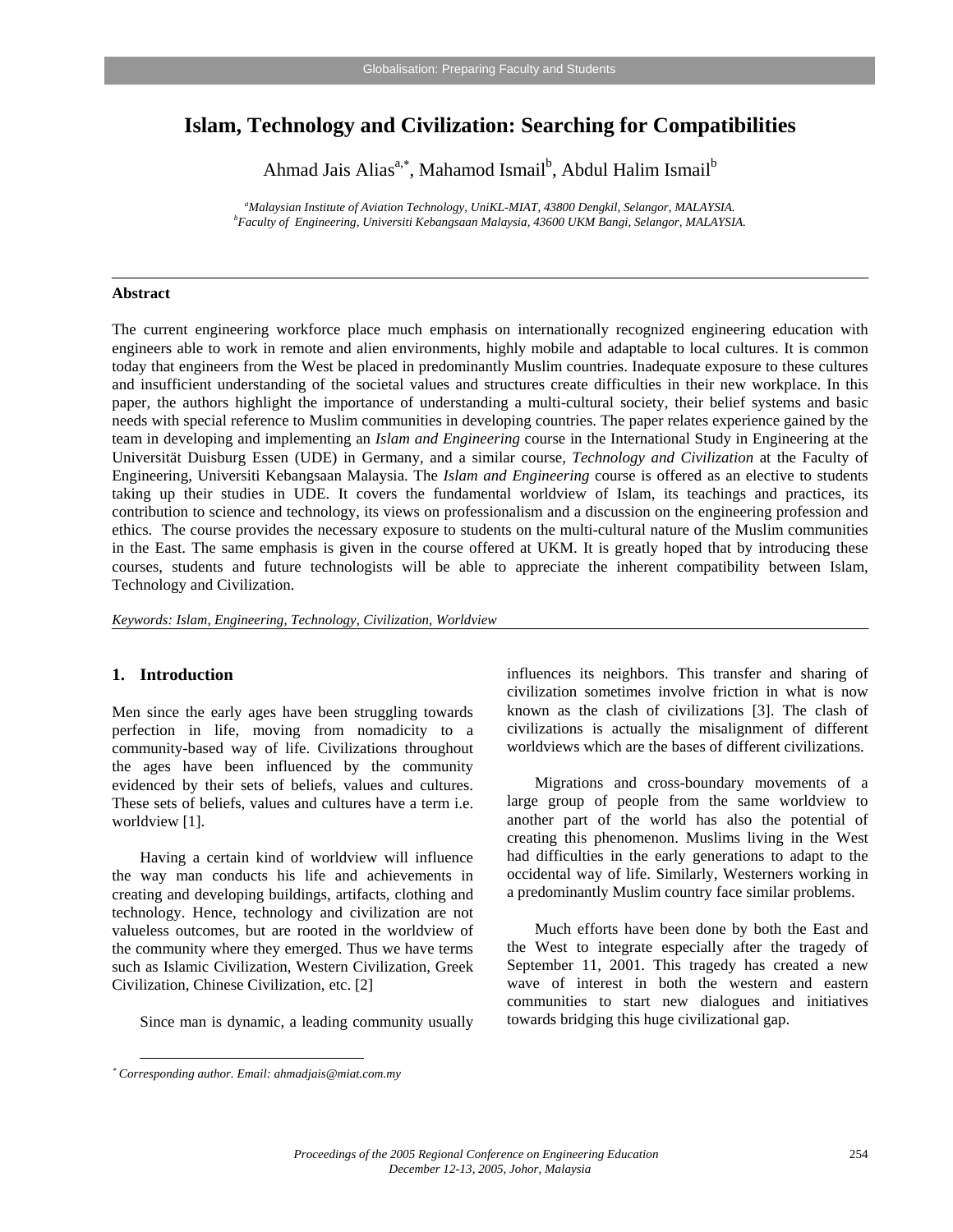# **Islam, Technology and Civilization: Searching for Compatibilities**

Ahmad Jais Alias<sup>a,∗</sup>, Mahamod Ismail<sup>b</sup>, Abdul Halim Ismail<sup>b</sup>

<sup>a</sup> Malaysian Institute of Aviation Technology, UniKL-MIAT, 43800 Dengkil, Selangor, MALAYSIA.<br>*b* Faculty of Fraincening, University Kehanggaga Malaysia, 42600 UKM Pangi, Selangor, MALAYSU. *Faculty of Engineering, Universiti Kebangsaan Malaysia, 43600 UKM Bangi, Selangor, MALAYSIA.* 

#### **Abstract**

The current engineering workforce place much emphasis on internationally recognized engineering education with engineers able to work in remote and alien environments, highly mobile and adaptable to local cultures. It is common today that engineers from the West be placed in predominantly Muslim countries. Inadequate exposure to these cultures and insufficient understanding of the societal values and structures create difficulties in their new workplace. In this paper, the authors highlight the importance of understanding a multi-cultural society, their belief systems and basic needs with special reference to Muslim communities in developing countries. The paper relates experience gained by the team in developing and implementing an *Islam and Engineering* course in the International Study in Engineering at the Universität Duisburg Essen (UDE) in Germany, and a similar course, *Technology and Civilization* at the Faculty of Engineering, Universiti Kebangsaan Malaysia. The *Islam and Engineering* course is offered as an elective to students taking up their studies in UDE. It covers the fundamental worldview of Islam, its teachings and practices, its contribution to science and technology, its views on professionalism and a discussion on the engineering profession and ethics. The course provides the necessary exposure to students on the multi-cultural nature of the Muslim communities in the East. The same emphasis is given in the course offered at UKM. It is greatly hoped that by introducing these courses, students and future technologists will be able to appreciate the inherent compatibility between Islam, Technology and Civilization.

*Keywords: Islam, Engineering, Technology, Civilization, Worldview* 

## **1. Introduction**

 $\overline{a}$ 

Men since the early ages have been struggling towards perfection in life, moving from nomadicity to a community-based way of life. Civilizations throughout the ages have been influenced by the community evidenced by their sets of beliefs, values and cultures. These sets of beliefs, values and cultures have a term i.e. worldview [1].

Having a certain kind of worldview will influence the way man conducts his life and achievements in creating and developing buildings, artifacts, clothing and technology. Hence, technology and civilization are not valueless outcomes, but are rooted in the worldview of the community where they emerged. Thus we have terms such as Islamic Civilization, Western Civilization, Greek Civilization, Chinese Civilization, etc. [2]

Since man is dynamic, a leading community usually

influences its neighbors. This transfer and sharing of civilization sometimes involve friction in what is now known as the clash of civilizations [3]. The clash of civilizations is actually the misalignment of different worldviews which are the bases of different civilizations.

Migrations and cross-boundary movements of a large group of people from the same worldview to another part of the world has also the potential of creating this phenomenon. Muslims living in the West had difficulties in the early generations to adapt to the occidental way of life. Similarly, Westerners working in a predominantly Muslim country face similar problems.

Much efforts have been done by both the East and the West to integrate especially after the tragedy of September 11, 2001. This tragedy has created a new wave of interest in both the western and eastern communities to start new dialogues and initiatives towards bridging this huge civilizational gap.

<sup>∗</sup> *Corresponding author. Email: ahmadjais@miat.com.my*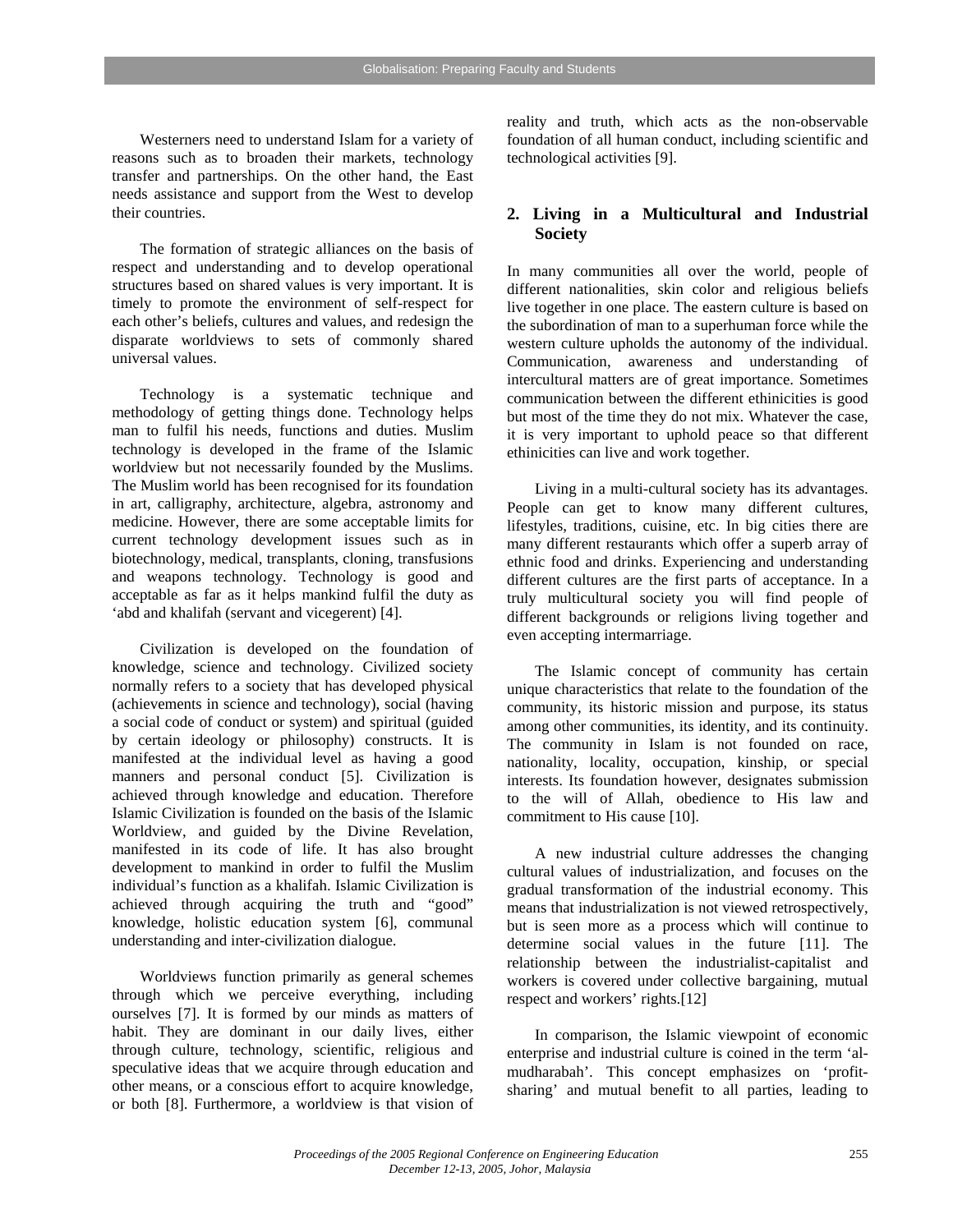Westerners need to understand Islam for a variety of reasons such as to broaden their markets, technology transfer and partnerships. On the other hand, the East needs assistance and support from the West to develop their countries.

The formation of strategic alliances on the basis of respect and understanding and to develop operational structures based on shared values is very important. It is timely to promote the environment of self-respect for each other's beliefs, cultures and values, and redesign the disparate worldviews to sets of commonly shared universal values.

Technology is a systematic technique and methodology of getting things done. Technology helps man to fulfil his needs, functions and duties. Muslim technology is developed in the frame of the Islamic worldview but not necessarily founded by the Muslims. The Muslim world has been recognised for its foundation in art, calligraphy, architecture, algebra, astronomy and medicine. However, there are some acceptable limits for current technology development issues such as in biotechnology, medical, transplants, cloning, transfusions and weapons technology. Technology is good and acceptable as far as it helps mankind fulfil the duty as 'abd and khalifah (servant and vicegerent) [4].

Civilization is developed on the foundation of knowledge, science and technology. Civilized society normally refers to a society that has developed physical (achievements in science and technology), social (having a social code of conduct or system) and spiritual (guided by certain ideology or philosophy) constructs. It is manifested at the individual level as having a good manners and personal conduct [5]. Civilization is achieved through knowledge and education. Therefore Islamic Civilization is founded on the basis of the Islamic Worldview, and guided by the Divine Revelation, manifested in its code of life. It has also brought development to mankind in order to fulfil the Muslim individual's function as a khalifah. Islamic Civilization is achieved through acquiring the truth and "good" knowledge, holistic education system [6], communal understanding and inter-civilization dialogue.

Worldviews function primarily as general schemes through which we perceive everything, including ourselves [7]. It is formed by our minds as matters of habit. They are dominant in our daily lives, either through culture, technology, scientific, religious and speculative ideas that we acquire through education and other means, or a conscious effort to acquire knowledge, or both [8]. Furthermore, a worldview is that vision of reality and truth, which acts as the non-observable foundation of all human conduct, including scientific and technological activities [9].

### **2. Living in a Multicultural and Industrial Society**

In many communities all over the world, people of different nationalities, skin color and religious beliefs live together in one place. The eastern culture is based on the subordination of man to a superhuman force while the western culture upholds the autonomy of the individual. Communication, awareness and understanding of intercultural matters are of great importance. Sometimes communication between the different ethinicities is good but most of the time they do not mix. Whatever the case, it is very important to uphold peace so that different ethinicities can live and work together.

Living in a multi-cultural society has its advantages. People can get to know many different cultures, lifestyles, traditions, cuisine, etc. In big cities there are many different restaurants which offer a superb array of ethnic food and drinks. Experiencing and understanding different cultures are the first parts of acceptance. In a truly multicultural society you will find people of different backgrounds or religions living together and even accepting intermarriage.

The Islamic concept of community has certain unique characteristics that relate to the foundation of the community, its historic mission and purpose, its status among other communities, its identity, and its continuity. The community in Islam is not founded on race, nationality, locality, occupation, kinship, or special interests. Its foundation however, designates submission to the will of Allah, obedience to His law and commitment to His cause [10].

A new industrial culture addresses the changing cultural values of industrialization, and focuses on the gradual transformation of the industrial economy. This means that industrialization is not viewed retrospectively, but is seen more as a process which will continue to determine social values in the future [11]. The relationship between the industrialist-capitalist and workers is covered under collective bargaining, mutual respect and workers' rights.[12]

In comparison, the Islamic viewpoint of economic enterprise and industrial culture is coined in the term 'almudharabah'. This concept emphasizes on 'profitsharing' and mutual benefit to all parties, leading to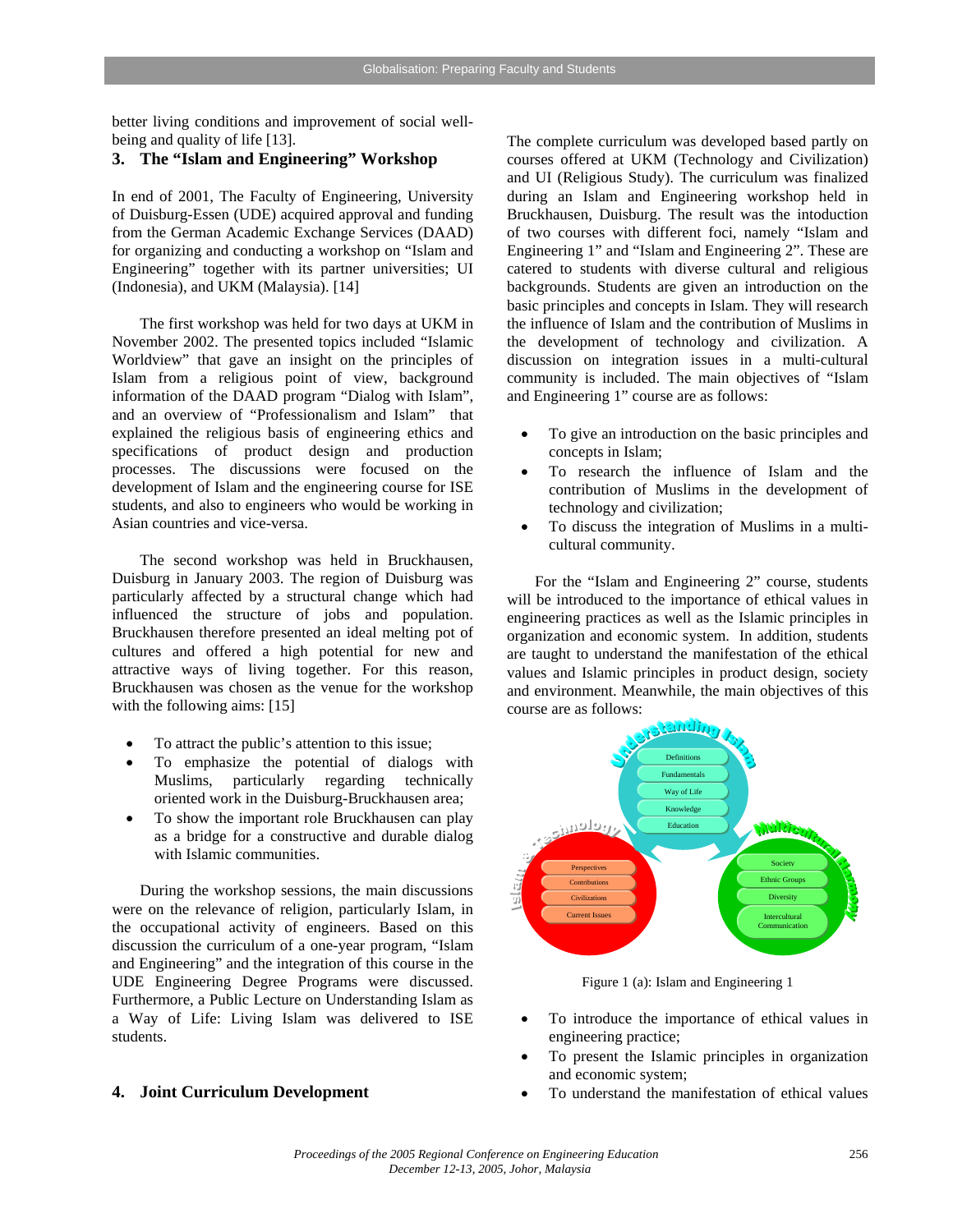better living conditions and improvement of social wellbeing and quality of life [13].

# **3. The "Islam and Engineering" Workshop**

In end of 2001, The Faculty of Engineering, University of Duisburg-Essen (UDE) acquired approval and funding from the German Academic Exchange Services (DAAD) for organizing and conducting a workshop on "Islam and Engineering" together with its partner universities; UI (Indonesia), and UKM (Malaysia). [14]

 The first workshop was held for two days at UKM in November 2002. The presented topics included "Islamic Worldview" that gave an insight on the principles of Islam from a religious point of view, background information of the DAAD program "Dialog with Islam", and an overview of "Professionalism and Islam" that explained the religious basis of engineering ethics and specifications of product design and production processes. The discussions were focused on the development of Islam and the engineering course for ISE students, and also to engineers who would be working in Asian countries and vice-versa.

The second workshop was held in Bruckhausen, Duisburg in January 2003. The region of Duisburg was particularly affected by a structural change which had influenced the structure of jobs and population. Bruckhausen therefore presented an ideal melting pot of cultures and offered a high potential for new and attractive ways of living together. For this reason, Bruckhausen was chosen as the venue for the workshop with the following aims: [15]

- To attract the public's attention to this issue;
- To emphasize the potential of dialogs with Muslims, particularly regarding technically oriented work in the Duisburg-Bruckhausen area;
- To show the important role Bruckhausen can play as a bridge for a constructive and durable dialog with Islamic communities.

During the workshop sessions, the main discussions were on the relevance of religion, particularly Islam, in the occupational activity of engineers. Based on this discussion the curriculum of a one-year program, "Islam and Engineering" and the integration of this course in the UDE Engineering Degree Programs were discussed. Furthermore, a Public Lecture on Understanding Islam as a Way of Life: Living Islam was delivered to ISE students.

#### **4. Joint Curriculum Development**

The complete curriculum was developed based partly on courses offered at UKM (Technology and Civilization) and UI (Religious Study). The curriculum was finalized during an Islam and Engineering workshop held in Bruckhausen, Duisburg. The result was the intoduction of two courses with different foci, namely "Islam and Engineering 1" and "Islam and Engineering 2". These are catered to students with diverse cultural and religious backgrounds. Students are given an introduction on the basic principles and concepts in Islam. They will research the influence of Islam and the contribution of Muslims in the development of technology and civilization. A discussion on integration issues in a multi-cultural community is included. The main objectives of "Islam and Engineering 1" course are as follows:

- To give an introduction on the basic principles and concepts in Islam;
- To research the influence of Islam and the contribution of Muslims in the development of technology and civilization;
- To discuss the integration of Muslims in a multicultural community.

For the "Islam and Engineering 2" course, students will be introduced to the importance of ethical values in engineering practices as well as the Islamic principles in organization and economic system. In addition, students are taught to understand the manifestation of the ethical values and Islamic principles in product design, society and environment. Meanwhile, the main objectives of this course are as follows:



Figure 1 (a): Islam and Engineering 1

- To introduce the importance of ethical values in engineering practice;
- To present the Islamic principles in organization and economic system;
- To understand the manifestation of ethical values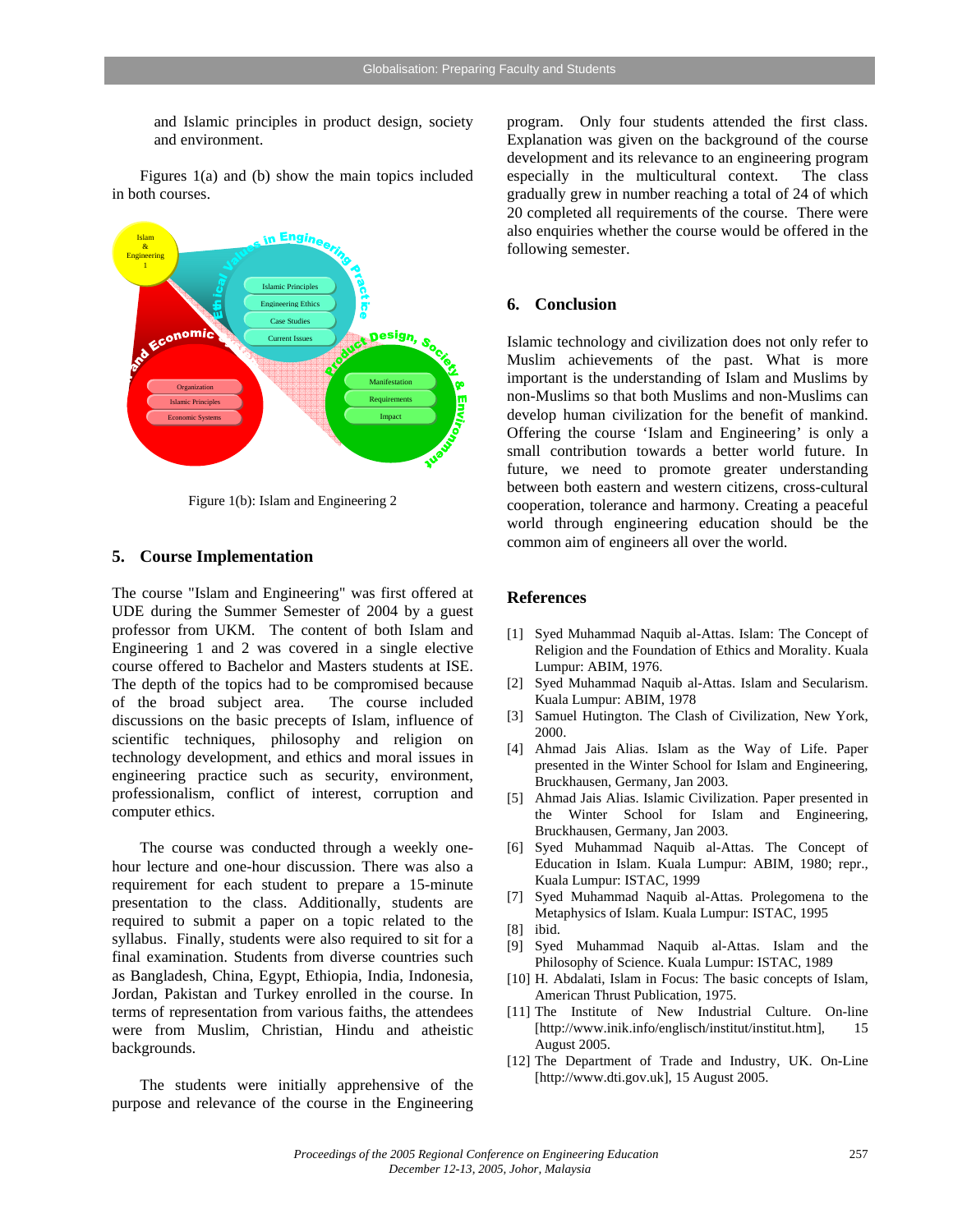and Islamic principles in product design, society and environment.

Figures 1(a) and (b) show the main topics included in both courses.



Figure 1(b): Islam and Engineering 2

### **5. Course Implementation**

The course "Islam and Engineering" was first offered at UDE during the Summer Semester of 2004 by a guest professor from UKM. The content of both Islam and Engineering 1 and 2 was covered in a single elective course offered to Bachelor and Masters students at ISE. The depth of the topics had to be compromised because of the broad subject area. The course included discussions on the basic precepts of Islam, influence of scientific techniques, philosophy and religion on technology development, and ethics and moral issues in engineering practice such as security, environment, professionalism, conflict of interest, corruption and computer ethics.

The course was conducted through a weekly onehour lecture and one-hour discussion. There was also a requirement for each student to prepare a 15-minute presentation to the class. Additionally, students are required to submit a paper on a topic related to the syllabus. Finally, students were also required to sit for a final examination. Students from diverse countries such as Bangladesh, China, Egypt, Ethiopia, India, Indonesia, Jordan, Pakistan and Turkey enrolled in the course. In terms of representation from various faiths, the attendees were from Muslim, Christian, Hindu and atheistic backgrounds.

The students were initially apprehensive of the purpose and relevance of the course in the Engineering

program. Only four students attended the first class. Explanation was given on the background of the course development and its relevance to an engineering program especially in the multicultural context. The class gradually grew in number reaching a total of 24 of which 20 completed all requirements of the course. There were also enquiries whether the course would be offered in the following semester.

### **6. Conclusion**

Islamic technology and civilization does not only refer to Muslim achievements of the past. What is more important is the understanding of Islam and Muslims by non-Muslims so that both Muslims and non-Muslims can develop human civilization for the benefit of mankind. Offering the course 'Islam and Engineering' is only a small contribution towards a better world future. In future, we need to promote greater understanding between both eastern and western citizens, cross-cultural cooperation, tolerance and harmony. Creating a peaceful world through engineering education should be the common aim of engineers all over the world.

### **References**

- [1] Syed Muhammad Naquib al-Attas. Islam: The Concept of Religion and the Foundation of Ethics and Morality. Kuala Lumpur: ABIM, 1976.
- [2] Syed Muhammad Naquib al-Attas. Islam and Secularism. Kuala Lumpur: ABIM, 1978
- [3] Samuel Hutington. The Clash of Civilization, New York, 2000.
- [4] Ahmad Jais Alias. Islam as the Way of Life. Paper presented in the Winter School for Islam and Engineering, Bruckhausen, Germany, Jan 2003.
- [5] Ahmad Jais Alias. Islamic Civilization. Paper presented in the Winter School for Islam and Engineering, Bruckhausen, Germany, Jan 2003.
- [6] Syed Muhammad Naquib al-Attas. The Concept of Education in Islam. Kuala Lumpur: ABIM, 1980; repr., Kuala Lumpur: ISTAC, 1999
- [7] Syed Muhammad Naquib al-Attas. Prolegomena to the Metaphysics of Islam. Kuala Lumpur: ISTAC, 1995
- [8] ibid.
- [9] Syed Muhammad Naquib al-Attas. Islam and the Philosophy of Science. Kuala Lumpur: ISTAC, 1989
- [10] H. Abdalati, Islam in Focus: The basic concepts of Islam, American Thrust Publication, 1975.
- [11] The Institute of New Industrial Culture. On-line [http://www.inik.info/englisch/institut/institut.htm], 15 August 2005.
- [12] The Department of Trade and Industry, UK. On-Line [http://www.dti.gov.uk], 15 August 2005.